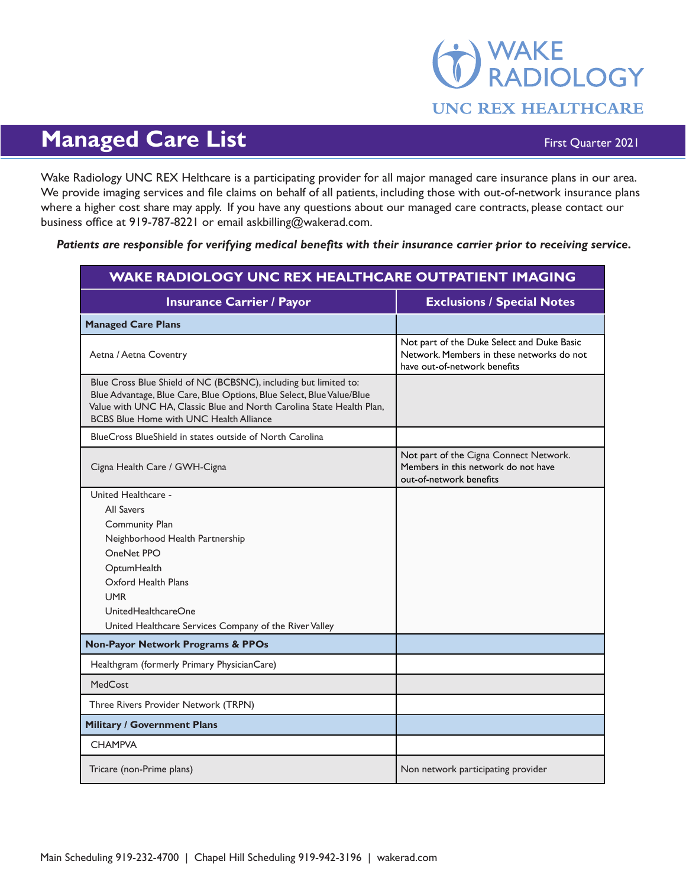## WAKE<br>RADIOLOGY **UNC REX HEALTHCARE**

## **Managed Care List** First Quarter 2021

Wake Radiology UNC REX Helthcare is a participating provider for all major managed care insurance plans in our area. We provide imaging services and file claims on behalf of all patients, including those with out-of-network insurance plans where a higher cost share may apply. If you have any questions about our managed care contracts, please contact our business office at 919-787-8221 or email askbilling@wakerad.com.

*Patients are responsible for verifying medical benefits with their insurance carrier prior to receiving service.*

| <b>WAKE RADIOLOGY UNC REX HEALTHCARE OUTPATIENT IMAGING</b>                                                                                                                                                                                                          |                                                                                                                         |
|----------------------------------------------------------------------------------------------------------------------------------------------------------------------------------------------------------------------------------------------------------------------|-------------------------------------------------------------------------------------------------------------------------|
| <b>Insurance Carrier / Payor</b>                                                                                                                                                                                                                                     | <b>Exclusions / Special Notes</b>                                                                                       |
| <b>Managed Care Plans</b>                                                                                                                                                                                                                                            |                                                                                                                         |
| Aetna / Aetna Coventry                                                                                                                                                                                                                                               | Not part of the Duke Select and Duke Basic<br>Network. Members in these networks do not<br>have out-of-network benefits |
| Blue Cross Blue Shield of NC (BCBSNC), including but limited to:<br>Blue Advantage, Blue Care, Blue Options, Blue Select, Blue Value/Blue<br>Value with UNC HA, Classic Blue and North Carolina State Health Plan,<br><b>BCBS Blue Home with UNC Health Alliance</b> |                                                                                                                         |
| BlueCross BlueShield in states outside of North Carolina                                                                                                                                                                                                             |                                                                                                                         |
| Cigna Health Care / GWH-Cigna                                                                                                                                                                                                                                        | Not part of the Cigna Connect Network.<br>Members in this network do not have<br>out-of-network benefits                |
| United Healthcare -                                                                                                                                                                                                                                                  |                                                                                                                         |
| <b>All Savers</b>                                                                                                                                                                                                                                                    |                                                                                                                         |
| <b>Community Plan</b>                                                                                                                                                                                                                                                |                                                                                                                         |
| Neighborhood Health Partnership<br>OneNet PPO                                                                                                                                                                                                                        |                                                                                                                         |
| OptumHealth                                                                                                                                                                                                                                                          |                                                                                                                         |
| Oxford Health Plans                                                                                                                                                                                                                                                  |                                                                                                                         |
| <b>UMR</b>                                                                                                                                                                                                                                                           |                                                                                                                         |
| UnitedHealthcareOne                                                                                                                                                                                                                                                  |                                                                                                                         |
| United Healthcare Services Company of the River Valley                                                                                                                                                                                                               |                                                                                                                         |
| <b>Non-Payor Network Programs &amp; PPOs</b>                                                                                                                                                                                                                         |                                                                                                                         |
| Healthgram (formerly Primary PhysicianCare)                                                                                                                                                                                                                          |                                                                                                                         |
| <b>MedCost</b>                                                                                                                                                                                                                                                       |                                                                                                                         |
| Three Rivers Provider Network (TRPN)                                                                                                                                                                                                                                 |                                                                                                                         |
| <b>Military / Government Plans</b>                                                                                                                                                                                                                                   |                                                                                                                         |
| <b>CHAMPVA</b>                                                                                                                                                                                                                                                       |                                                                                                                         |
| Tricare (non-Prime plans)                                                                                                                                                                                                                                            | Non network participating provider                                                                                      |